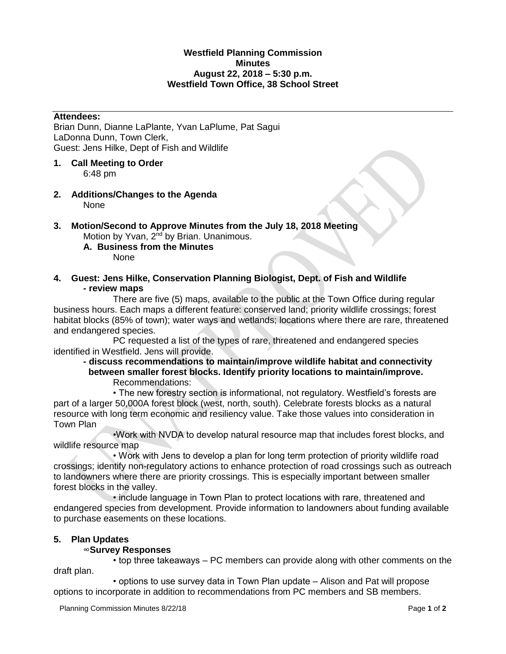## **Westfield Planning Commission Minutes August 22, 2018 – 5:30 p.m. Westfield Town Office, 38 School Street**

#### **Attendees:**

Brian Dunn, Dianne LaPlante, Yvan LaPlume, Pat Sagui LaDonna Dunn, Town Clerk, Guest: Jens Hilke, Dept of Fish and Wildlife

- **1. Call Meeting to Order**  6:48 pm
- **2. Additions/Changes to the Agenda** None

#### **3. Motion/Second to Approve Minutes from the July 18, 2018 Meeting** Motion by Yvan, 2<sup>nd</sup> by Brian. Unanimous.

**A. Business from the Minutes**

None

**4. Guest: Jens Hilke, Conservation Planning Biologist, Dept. of Fish and Wildlife - review maps**

There are five (5) maps, available to the public at the Town Office during regular business hours. Each maps a different feature: conserved land; priority wildlife crossings; forest habitat blocks (85% of town); water ways and wetlands; locations where there are rare, threatened and endangered species.

PC requested a list of the types of rare, threatened and endangered species identified in Westfield. Jens will provide.

### **- discuss recommendations to maintain/improve wildlife habitat and connectivity between smaller forest blocks. Identify priority locations to maintain/improve.**  Recommendations:

• The new forestry section is informational, not regulatory. Westfield's forests are part of a larger 50,000A forest block (west, north, south). Celebrate forests blocks as a natural resource with long term economic and resiliency value. Take those values into consideration in Town Plan

•Work with NVDA to develop natural resource map that includes forest blocks, and wildlife resource map

• Work with Jens to develop a plan for long term protection of priority wildlife road crossings; identify non-regulatory actions to enhance protection of road crossings such as outreach to landowners where there are priority crossings. This is especially important between smaller forest blocks in the valley.

• include language in Town Plan to protect locations with rare, threatened and endangered species from development. Provide information to landowners about funding available to purchase easements on these locations.

# **5. Plan Updates**

# ∞**Survey Responses**

• top three takeaways – PC members can provide along with other comments on the draft plan.

• options to use survey data in Town Plan update – Alison and Pat will propose options to incorporate in addition to recommendations from PC members and SB members.